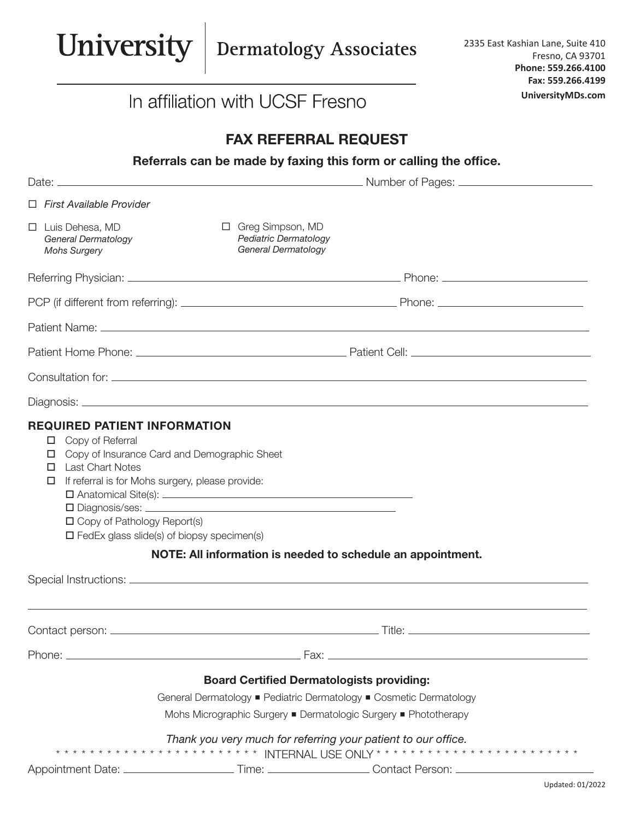

| Phone. | Fax:                                                                                                                                        |  |
|--------|---------------------------------------------------------------------------------------------------------------------------------------------|--|
|        | the contract of the contract of the contract of the contract of the contract of the contract of the contract of<br>$\overline{\phantom{a}}$ |  |

## Board Certified Dermatologists providing:

General Dermatology ■ Pediatric Dermatology ■ Cosmetic Dermatology

Mohs Micrographic Surgery ■ Dermatologic Surgery ■ Phototherapy

## *Thank you very much for referring your patient to our office.*

\* \* \* \* \* \* \* \* \* \* \* \* \* \* \* \* \* \* \* \* \* \* \* \* INTERNAL USE ONLY \* \* \* \* \* \* \* \* \* \* \* \* \* \* \* \* \* \* \* \* \* \* \* \*

Appointment Date: \_\_\_\_\_\_\_\_\_\_\_\_\_\_\_\_\_\_\_\_\_\_\_\_Time: \_\_\_\_\_\_\_\_\_\_\_\_\_\_\_\_\_\_\_\_Contact Person: \_\_\_\_\_\_\_\_\_\_\_\_\_\_\_\_\_\_\_\_\_\_\_\_\_\_